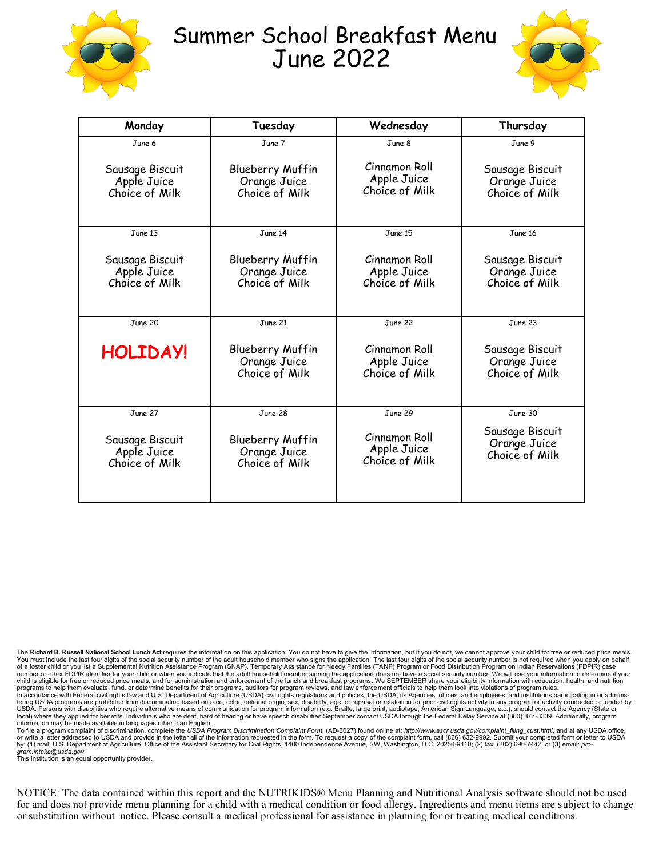

## Summer School Breakfast Menu June 2022



| Monday                                           | Tuesday                                                   | Wednesday                                      | Thursday                                          |
|--------------------------------------------------|-----------------------------------------------------------|------------------------------------------------|---------------------------------------------------|
| June 6                                           | June 7                                                    | June 8                                         | June 9                                            |
| Sausage Biscuit<br>Apple Juice<br>Choice of Milk | <b>Blueberry Muffin</b><br>Orange Juice<br>Choice of Milk | Cinnamon Roll<br>Apple Juice<br>Choice of Milk | Sausage Biscuit<br>Orange Juice<br>Choice of Milk |
| June 13                                          | June 14                                                   | June 15                                        | June 16                                           |
| Sausage Biscuit<br>Apple Juice<br>Choice of Milk | Blueberry Muffin<br>Orange Juice<br>Choice of Milk        | Cinnamon Roll<br>Apple Juice<br>Choice of Milk | Sausage Biscuit<br>Orange Juice<br>Choice of Milk |
| June 20                                          | June 21                                                   | June 22                                        | June 23                                           |
| <b>HOLIDAY!</b>                                  | <b>Blueberry Muffin</b><br>Orange Juice<br>Choice of Milk | Cinnamon Roll<br>Apple Juice<br>Choice of Milk | Sausage Biscuit<br>Orange Juice<br>Choice of Milk |
| June 27                                          | June 28                                                   | June 29                                        | June 30                                           |
| Sausage Biscuit<br>Apple Juice<br>Choice of Milk | <b>Blueberry Muffin</b><br>Orange Juice<br>Choice of Milk | Cinnamon Roll<br>Apple Juice<br>Choice of Milk | Sausage Biscuit<br>Orange Juice<br>Choice of Milk |

The Richard B. Russell National School Lunch Act requires the information on this application. You do not have to give the information, but if you do not, we cannot approve your child for free or reduced price meals. You must include the last four digits of the social security number of the adult household member who signs the application. The last four digits of the social security number is not required when you apply on behalf<br>of a programs to help them evaluate, fund, or determine benefits for their programs, auditors for program reviews, and law enforcement officials to help them look into violations of program rules.<br>In accordance with Federal civ tering USDA programs are prohibited from discriminating based on race, color, national origin, sex, disability, age, or reprisal or retaliation for prior civil rights activity in any program or activity conducted or funded information may be made available in languages other than English.

To file a program complaint of discrimination, complete the *USDA Program Discrimination Complaint Form*, (AD-3027) found online at: *http://www.ascr.usda.gov/complaint\_filing\_cust.html,* and at any USDA office,<br>or write a *gram.intake@usda.gov*. This institution is an equal opportunity provider.

NOTICE: The data contained within this report and the NUTRIKIDS® Menu Planning and Nutritional Analysis software should not be used for and does not provide menu planning for a child with a medical condition or food allergy. Ingredients and menu items are subject to change or substitution without notice. Please consult a medical professional for assistance in planning for or treating medical conditions.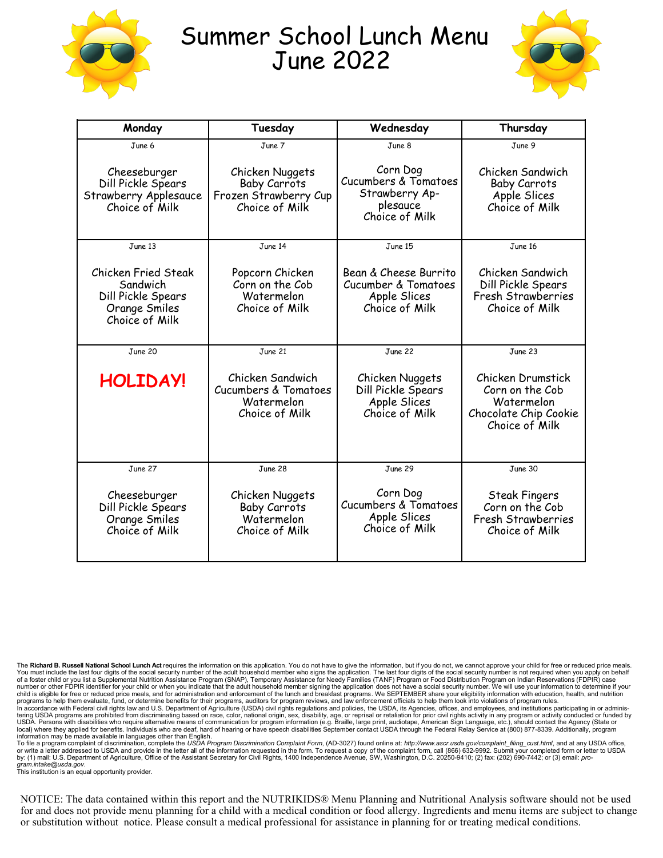

## Summer School Lunch Menu June 2022



| Monday                                                                                          | Tuesday                                                                           | Wednesday                                                                                   | Thursday                                                                                      |
|-------------------------------------------------------------------------------------------------|-----------------------------------------------------------------------------------|---------------------------------------------------------------------------------------------|-----------------------------------------------------------------------------------------------|
| June 6                                                                                          | June 7                                                                            | June 8                                                                                      | June 9                                                                                        |
| Cheeseburger<br>Dill Pickle Spears<br>Strawberry Applesauce<br>Choice of Milk                   | Chicken Nuggets<br><b>Baby Carrots</b><br>Frozen Strawberry Cup<br>Choice of Milk | Corn Dog<br><b>Cucumbers &amp; Tomatoes</b><br>Strawberry Ap-<br>plesauce<br>Choice of Milk | Chicken Sandwich<br><b>Baby Carrots</b><br>Apple Slices<br>Choice of Milk                     |
| June 13                                                                                         | June 14                                                                           | June 15                                                                                     | June 16                                                                                       |
| <b>Chicken Fried Steak</b><br>Sandwich<br>Dill Pickle Spears<br>Orange Smiles<br>Choice of Milk | Popcorn Chicken<br>Corn on the Cob<br>Watermelon<br>Choice of Milk                | Bean & Cheese Burrito<br>Cucumber & Tomatoes<br>Apple Slices<br>Choice of Milk              | Chicken Sandwich<br>Dill Pickle Spears<br>Fresh Strawberries<br>Choice of Milk                |
| June 20                                                                                         | June 21                                                                           | June 22                                                                                     | June 23                                                                                       |
| HOLIDAY!                                                                                        | Chicken Sandwich<br>Cucumbers & Tomatoes<br>Watermelon<br>Choice of Milk          | Chicken Nuggets<br>Dill Pickle Spears<br>Apple Slices<br>Choice of Milk                     | Chicken Drumstick<br>Corn on the Cob<br>Watermelon<br>Chocolate Chip Cookie<br>Choice of Milk |
| June 27                                                                                         | June 28                                                                           | June 29                                                                                     | June 30                                                                                       |
| Cheeseburger<br>Dill Pickle Spears<br>Orange Smiles<br>Choice of Milk                           | Chicken Nuggets<br><b>Baby Carrots</b><br>Watermelon<br>Choice of Milk            | Corn Dog<br><b>Cucumbers &amp; Tomatoes</b><br>Apple Slices<br>Choice of Milk               | <b>Steak Fingers</b><br>Corn on the Cob<br>Fresh Strawberries<br>Choice of Milk               |

The Richard B. Russell National School Lunch Act requires the information on this application. You do not have to give the information, but if you do not, we cannot approve your child for free or reduced price meals. You must include the last four digits of the social security number of the adult household member who signs the application. The last four digits of the social security number is not required when you apply on behalf<br>of a child is eligible for free or reduced price meals, and for administration and enforcement of the lunch and breakfast programs. We SEPTEMBER share your eligibility information with education, health, and nutrition<br>programs USDA. Persons with disabilities who require alternative means of communication for program information (e.g. Braille, large print, audiotape, American Sign Language, etc.), should contact the Agency (State or<br>local) where

information may be made available in languages other than English.<br>To file a program complaint of discrimination, complete the USDA Program Discrimination Complaint Form, (AD-3027) found online at: *http://www.ascr.usda.go gram.intake@usda.gov*. This institution is an equal opportunity provider.

NOTICE: The data contained within this report and the NUTRIKIDS® Menu Planning and Nutritional Analysis software should not be used for and does not provide menu planning for a child with a medical condition or food allergy. Ingredients and menu items are subject to change or substitution without notice. Please consult a medical professional for assistance in planning for or treating medical conditions.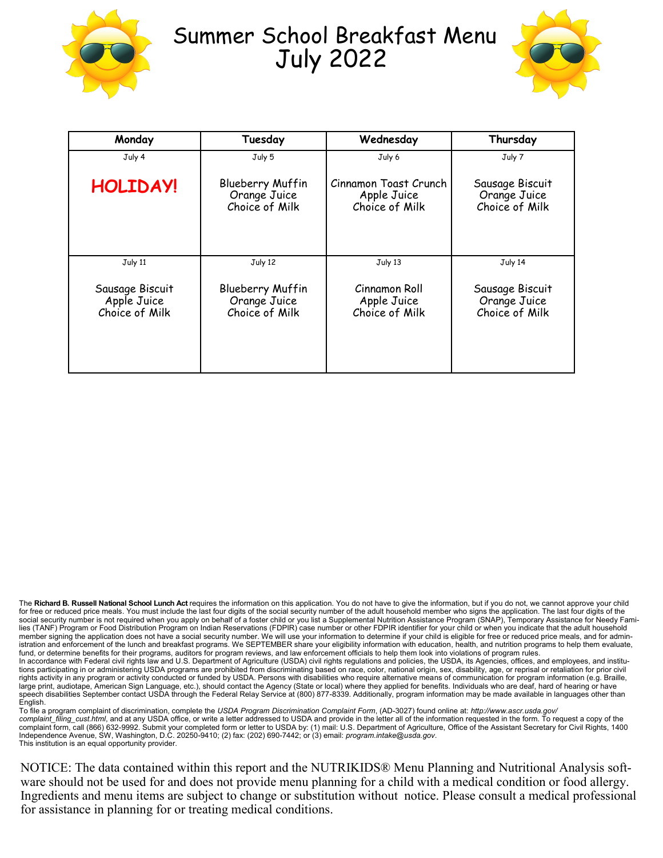

## Summer School Breakfast Menu July 2022



| Monday                                           | Tuesday                                                   | Wednesday                                              | Thursday                                          |
|--------------------------------------------------|-----------------------------------------------------------|--------------------------------------------------------|---------------------------------------------------|
| July 4                                           | July 5                                                    | July 6                                                 | July 7                                            |
| <b>HOLIDAY!</b>                                  | <b>Blueberry Muffin</b><br>Orange Juice<br>Choice of Milk | Cinnamon Toast Crunch<br>Apple Juice<br>Choice of Milk | Sausage Biscuit<br>Orange Juice<br>Choice of Milk |
| July 11                                          | July 12                                                   | July 13                                                | July 14                                           |
| Sausage Biscuit<br>Apple Juice<br>Choice of Milk | <b>Blueberry Muffin</b><br>Orange Juice<br>Choice of Milk | Cinnamon Roll<br>Apple Juice<br>Choice of Milk         | Sausage Biscuit<br>Orange Juice<br>Choice of Milk |

The **Richard B. Russell National School Lunch Act** requires the information on this application. You do not have to give the information, but if you do not, we cannot approve your child for free or reduced price meals. You must include the last four digits of the social security number of the adult household member who signs the application. The last four digits of the social security number is not required when you apply on behalf of a foster child or you list a Supplemental Nutrition Assistance Program (SNAP), Temporary Assistance for Needy Families (TANF) Program or Food Distribution Program on Indian Reservations (FDPIR) case number or other FDPIR identifier for your child or when you indicate that the adult household member signing the application does not have a social security number. We will use your information to determine if your child is eligible for free or reduced price meals, and for administration and enforcement of the lunch and breakfast programs. We SEPTEMBER share your eligibility information with education, health, and nutrition programs to help them evaluate, fund, or determine benefits for their programs, auditors for program reviews, and law enforcement officials to help them look into violations of program rules. In accordance with Federal civil rights law and U.S. Department of Agriculture (USDA) civil rights regulations and policies, the USDA, its Agencies, offices, and employees, and institutions participating in or administering USDA programs are prohibited from discriminating based on race, color, national origin, sex, disability, age, or reprisal or retaliation for prior civil rights activity in any program or activity conducted or funded by USDA. Persons with disabilities who require alternative means of communication for program information (e.g. Braille, large print, audiotape, American Sign Language, etc.), should contact the Agency (State or local) where they applied for benefits. Individuals who are deaf, hard of hearing or have speech disabilities September contact USDA through the Federal Relay Service at (800) 877-8339. Additionally, program information may be made available in languages other than English.

To file a program complaint of discrimination, complete the *USDA Program Discrimination Complaint Form*, (AD-3027) found online at: *http://www.ascr.usda.gov/*<br>*complaint\_filing\_cust.html*, and at any USDA office, or writ complaint form, call (866) 632-9992. Submit your completed form or letter to USDA by: (1) mail: U.S. Department of Agriculture, Office of the Assistant Secretary for Civil Rights, 1400 Independence Avenue, SW, Washington, D.C. 20250-9410; (2) fax: (202) 690-7442; or (3) email: *program.intake@usda.gov*. This institution is an equal opportunity provider.

NOTICE: The data contained within this report and the NUTRIKIDS® Menu Planning and Nutritional Analysis software should not be used for and does not provide menu planning for a child with a medical condition or food allergy. Ingredients and menu items are subject to change or substitution without notice. Please consult a medical professional for assistance in planning for or treating medical conditions.